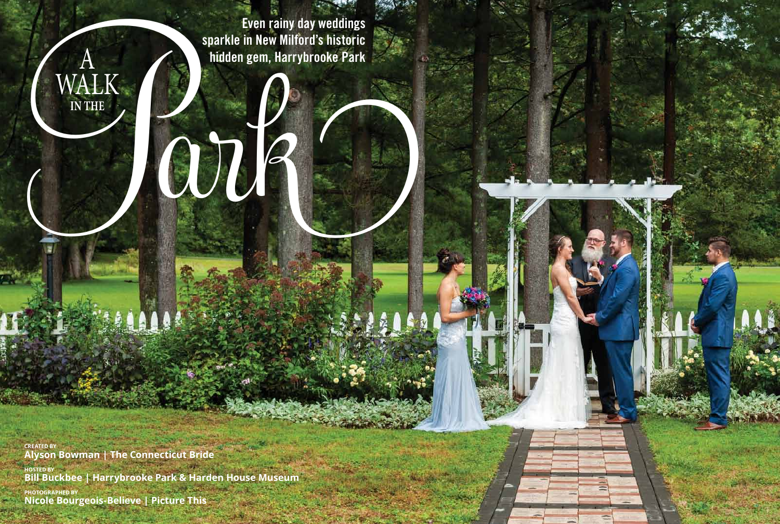

**Created by Alyson Bowman | The Connecticut Bride**

**Hosted by Bill Buckbee | Harrybrooke Park & Harden House Museum**

**Photographed by Nicole Bourgeois-Believe | Picture This**

Walk

**in the**

Even rainy day weddings sparkle in New Milford's historic hidden gem, Harrybrooke Park

 $206$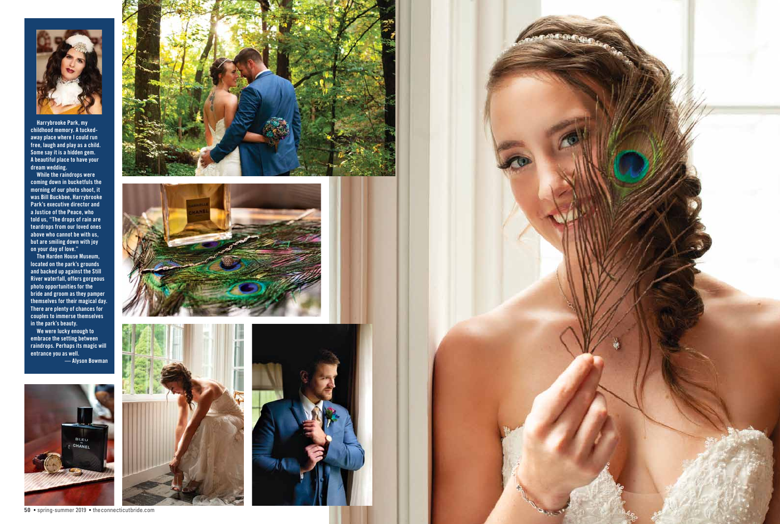



Harrybrooke Park, my childhood memory. A tuckedaway place where I could run free, laugh and play as a child. Some say it is a hidden gem. A beautiful place to have your dream wedding.

While the raindrops were coming down in bucketfuls the morning of our photo shoot, it was Bill Buckbee, Harrybrooke Park's executive director and a Justice of the Peace, who told us, "The drops of rain are teardrops from our loved ones above who cannot be with us, but are smiling down with joy on your day of love."

The Harden House Museum, located on the park's grounds and backed up against the Still River waterfall, offers gorgeous photo opportunities for the bride and groom as they pamper themselves for their magical day. There are plenty of chances for couples to immerse themselves in the park's beauty.

We were lucky enough to embrace the setting between raindrops. Perhaps its magic will entrance you as well. — Alyson Bowman









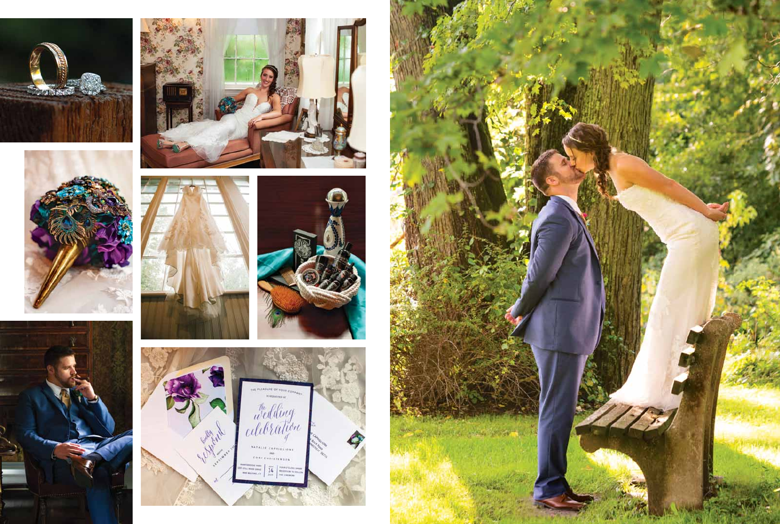